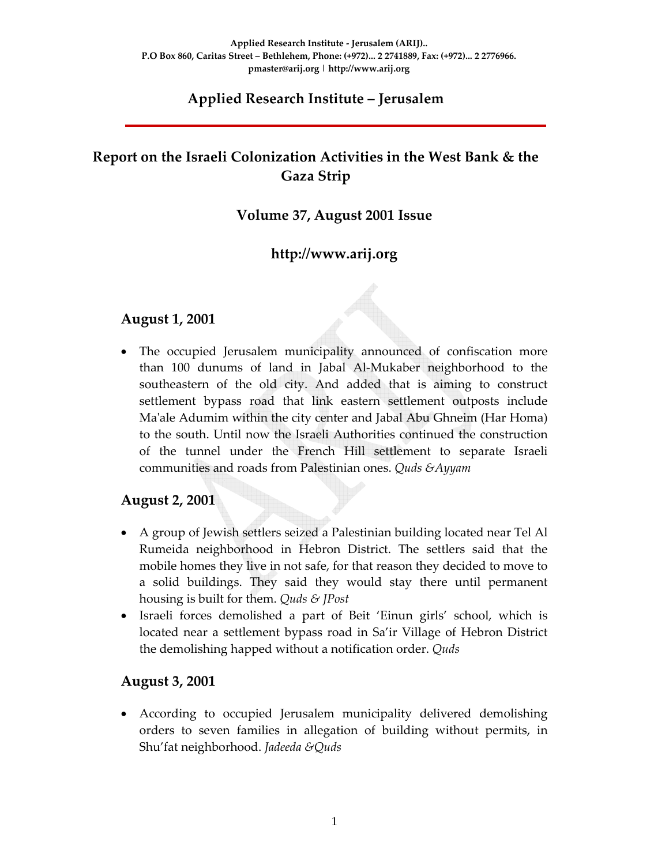### **Applied Research Institute – Jerusalem**

# **Report on the Israeli Colonization Activities in the West Bank & the Gaza Strip**

### **Volume 37, August 2001 Issue**

### **http://www.arij.org**

#### **August 1, 2001**

• The occupied Jerusalem municipality announced of confiscation more than 100 dunums of land in Jabal Al‐Mukaber neighborhood to the southeastern of the old city. And added that is aiming to construct settlement bypass road that link eastern settlement outposts include Maʹale Adumim within the city center and Jabal Abu Ghneim (Har Homa) to the south. Until now the Israeli Authorities continued the construction of the tunnel under the French Hill settlement to separate Israeli communities and roads from Palestinian ones. *Quds &Ayyam*

### **August 2, 2001**

- A group of Jewish settlers seized a Palestinian building located near Tel Al Rumeida neighborhood in Hebron District. The settlers said that the mobile homes they live in not safe, for that reason they decided to move to a solid buildings. They said they would stay there until permanent housing is built for them. *Quds & JPost*
- Israeli forces demolished a part of Beit 'Einun girls' school, which is located near a settlement bypass road in Sa'ir Village of Hebron District the demolishing happed without a notification order. *Quds*

### **August 3, 2001**

• According to occupied Jerusalem municipality delivered demolishing orders to seven families in allegation of building without permits, in Shu'fat neighborhood. *Jadeeda &Quds*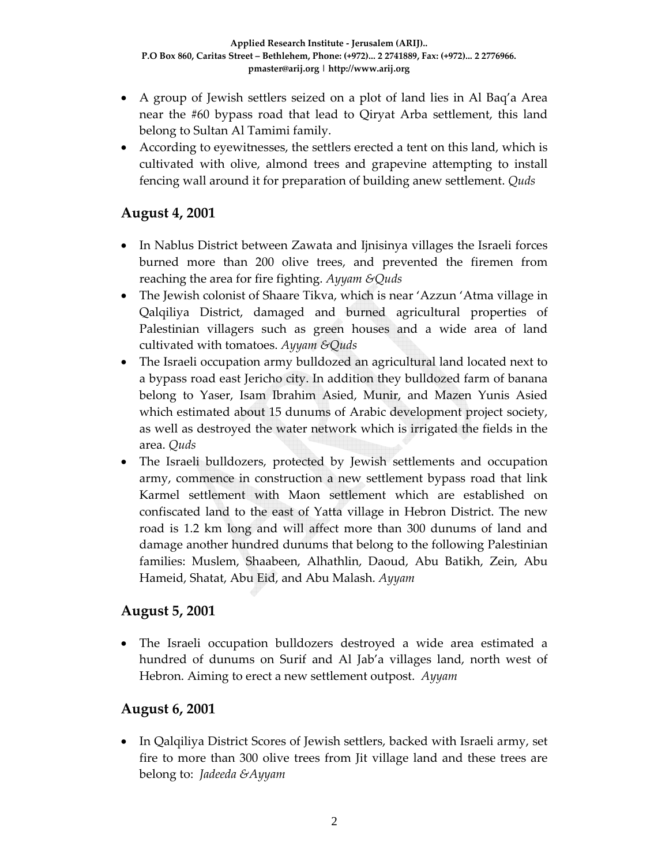- A group of Jewish settlers seized on a plot of land lies in Al Baq'a Area near the #60 bypass road that lead to Qiryat Arba settlement, this land belong to Sultan Al Tamimi family.
- According to eyewitnesses, the settlers erected a tent on this land, which is cultivated with olive, almond trees and grapevine attempting to install fencing wall around it for preparation of building anew settlement. *Quds*

### **August 4, 2001**

- In Nablus District between Zawata and Ijnisinya villages the Israeli forces burned more than 200 olive trees, and prevented the firemen from reaching the area for fire fighting. *Ayyam &Quds*
- The Jewish colonist of Shaare Tikva, which is near 'Azzun 'Atma village in Qalqiliya District, damaged and burned agricultural properties of Palestinian villagers such as green houses and a wide area of land cultivated with tomatoes. *Ayyam &Quds*
- The Israeli occupation army bulldozed an agricultural land located next to a bypass road east Jericho city. In addition they bulldozed farm of banana belong to Yaser, Isam Ibrahim Asied, Munir, and Mazen Yunis Asied which estimated about 15 dunums of Arabic development project society, as well as destroyed the water network which is irrigated the fields in the area. *Quds*
- The Israeli bulldozers, protected by Jewish settlements and occupation army, commence in construction a new settlement bypass road that link Karmel settlement with Maon settlement which are established on confiscated land to the east of Yatta village in Hebron District. The new road is 1.2 km long and will affect more than 300 dunums of land and damage another hundred dunums that belong to the following Palestinian families: Muslem, Shaabeen, Alhathlin, Daoud, Abu Batikh, Zein, Abu Hameid, Shatat, Abu Eid, and Abu Malash. *Ayyam*

### **August 5, 2001**

• The Israeli occupation bulldozers destroyed a wide area estimated a hundred of dunums on Surif and Al Jab'a villages land, north west of Hebron. Aiming to erect a new settlement outpost. *Ayyam*

### **August 6, 2001**

• In Qalqiliya District Scores of Jewish settlers, backed with Israeli army, set fire to more than 300 olive trees from Jit village land and these trees are belong to: *Jadeeda &Ayyam*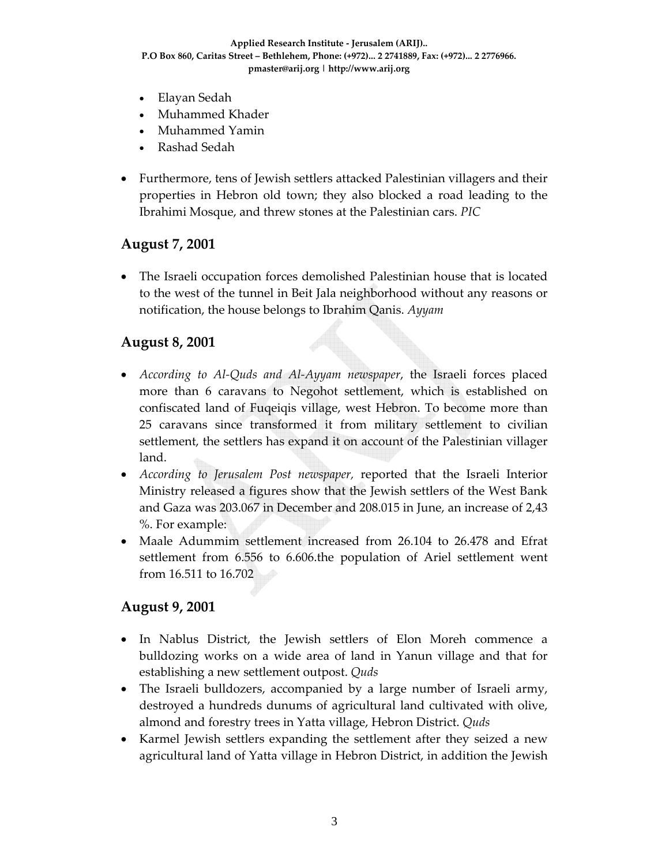- Elayan Sedah
- Muhammed Khader
- Muhammed Yamin
- Rashad Sedah
- Furthermore, tens of Jewish settlers attacked Palestinian villagers and their properties in Hebron old town; they also blocked a road leading to the Ibrahimi Mosque, and threw stones at the Palestinian cars. *PIC*

### **August 7, 2001**

• The Israeli occupation forces demolished Palestinian house that is located to the west of the tunnel in Beit Jala neighborhood without any reasons or notification, the house belongs to Ibrahim Qanis. *Ayyam*

#### **August 8, 2001**

- *According to Al‐Quds and Al‐Ayyam newspaper*, the Israeli forces placed more than 6 caravans to Negohot settlement, which is established on confiscated land of Fuqeiqis village, west Hebron. To become more than 25 caravans since transformed it from military settlement to civilian settlement, the settlers has expand it on account of the Palestinian villager land.
- *According to Jerusalem Post newspaper,* reported that the Israeli Interior Ministry released a figures show that the Jewish settlers of the West Bank and Gaza was 203.067 in December and 208.015 in June, an increase of 2,43 %. For example:
- Maale Adummim settlement increased from 26.104 to 26.478 and Efrat settlement from 6.556 to 6.606.the population of Ariel settlement went from 16.511 to 16.702

### **August 9, 2001**

- In Nablus District, the Jewish settlers of Elon Moreh commence a bulldozing works on a wide area of land in Yanun village and that for establishing a new settlement outpost. *Quds*
- The Israeli bulldozers, accompanied by a large number of Israeli army, destroyed a hundreds dunums of agricultural land cultivated with olive, almond and forestry trees in Yatta village, Hebron District. *Quds*
- Karmel Jewish settlers expanding the settlement after they seized a new agricultural land of Yatta village in Hebron District, in addition the Jewish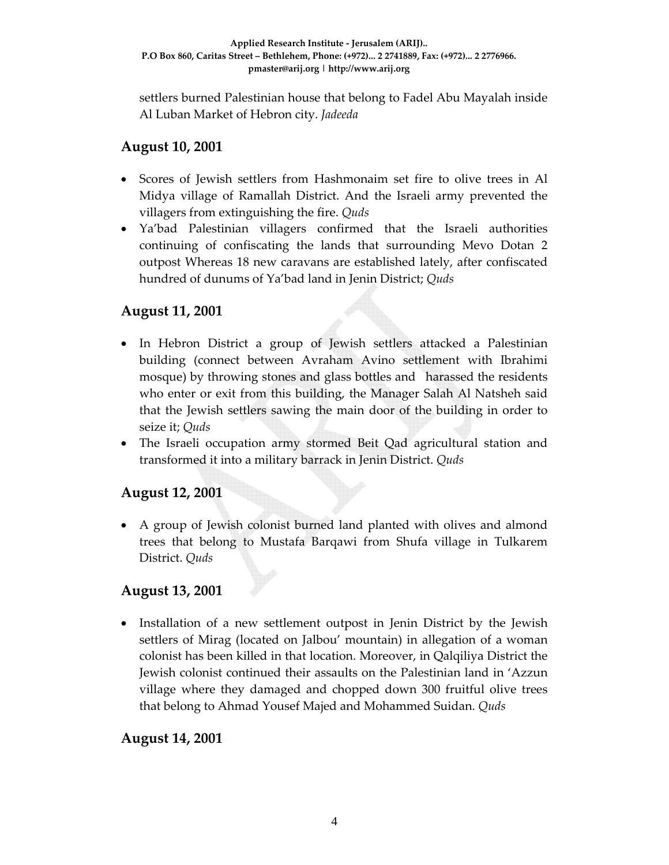settlers burned Palestinian house that belong to Fadel Abu Mayalah inside Al Luban Market of Hebron city. *Jadeeda*

### **August 10, 2001**

- Scores of Jewish settlers from Hashmonaim set fire to olive trees in Al Midya village of Ramallah District. And the Israeli army prevented the villagers from extinguishing the fire. *Quds*
- Ya'bad Palestinian villagers confirmed that the Israeli authorities continuing of confiscating the lands that surrounding Mevo Dotan 2 outpost Whereas 18 new caravans are established lately, after confiscated hundred of dunums of Ya'bad land in Jenin District; *Quds*

### **August 11, 2001**

- In Hebron District a group of Jewish settlers attacked a Palestinian building (connect between Avraham Avino settlement with Ibrahimi mosque) by throwing stones and glass bottles and harassed the residents who enter or exit from this building, the Manager Salah Al Natsheh said that the Jewish settlers sawing the main door of the building in order to seize it; *Quds*
- The Israeli occupation army stormed Beit Qad agricultural station and transformed it into a military barrack in Jenin District. *Quds*

### **August 12, 2001**

• A group of Jewish colonist burned land planted with olives and almond trees that belong to Mustafa Barqawi from Shufa village in Tulkarem District. *Quds*

### **August 13, 2001**

• Installation of a new settlement outpost in Jenin District by the Jewish settlers of Mirag (located on Jalbou' mountain) in allegation of a woman colonist has been killed in that location. Moreover, in Qalqiliya District the Jewish colonist continued their assaults on the Palestinian land in 'Azzun village where they damaged and chopped down 300 fruitful olive trees that belong to Ahmad Yousef Majed and Mohammed Suidan. *Quds*

### **August 14, 2001**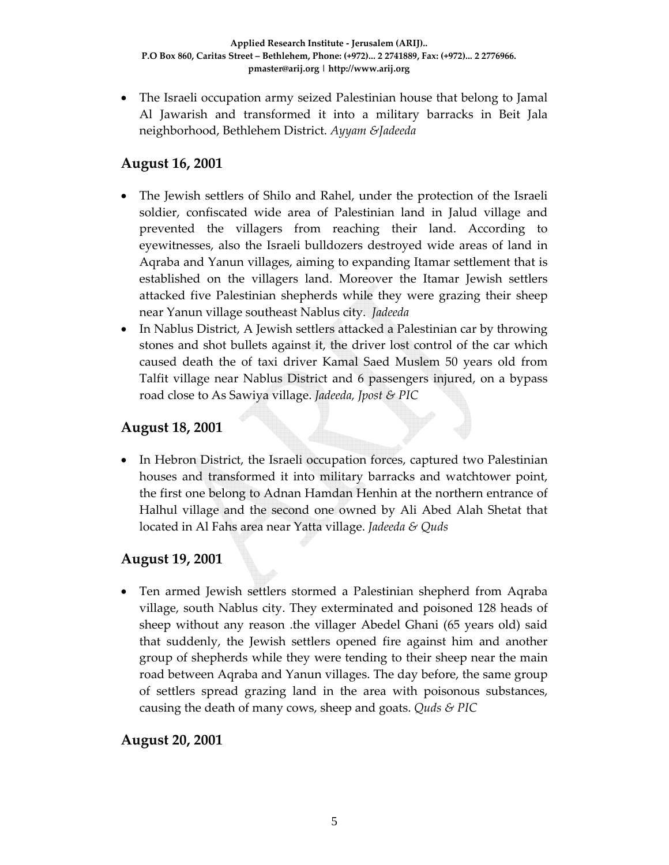• The Israeli occupation army seized Palestinian house that belong to Jamal Al Jawarish and transformed it into a military barracks in Beit Jala neighborhood, Bethlehem District. *Ayyam &Jadeeda*

### **August 16, 2001**

- The Jewish settlers of Shilo and Rahel, under the protection of the Israeli soldier, confiscated wide area of Palestinian land in Jalud village and prevented the villagers from reaching their land. According to eyewitnesses, also the Israeli bulldozers destroyed wide areas of land in Aqraba and Yanun villages, aiming to expanding Itamar settlement that is established on the villagers land. Moreover the Itamar Jewish settlers attacked five Palestinian shepherds while they were grazing their sheep near Yanun village southeast Nablus city. *Jadeeda*
- In Nablus District, A Jewish settlers attacked a Palestinian car by throwing stones and shot bullets against it, the driver lost control of the car which caused death the of taxi driver Kamal Saed Muslem 50 years old from Talfit village near Nablus District and 6 passengers injured, on a bypass road close to As Sawiya village. *Jadeeda, Jpost & PIC*

### **August 18, 2001**

• In Hebron District, the Israeli occupation forces, captured two Palestinian houses and transformed it into military barracks and watchtower point, the first one belong to Adnan Hamdan Henhin at the northern entrance of Halhul village and the second one owned by Ali Abed Alah Shetat that located in Al Fahs area near Yatta village. *Jadeeda & Quds*

### **August 19, 2001**

• Ten armed Jewish settlers stormed a Palestinian shepherd from Aqraba village, south Nablus city. They exterminated and poisoned 128 heads of sheep without any reason .the villager Abedel Ghani (65 years old) said that suddenly, the Jewish settlers opened fire against him and another group of shepherds while they were tending to their sheep near the main road between Aqraba and Yanun villages. The day before, the same group of settlers spread grazing land in the area with poisonous substances, causing the death of many cows, sheep and goats. *Quds & PIC*

**August 20, 2001**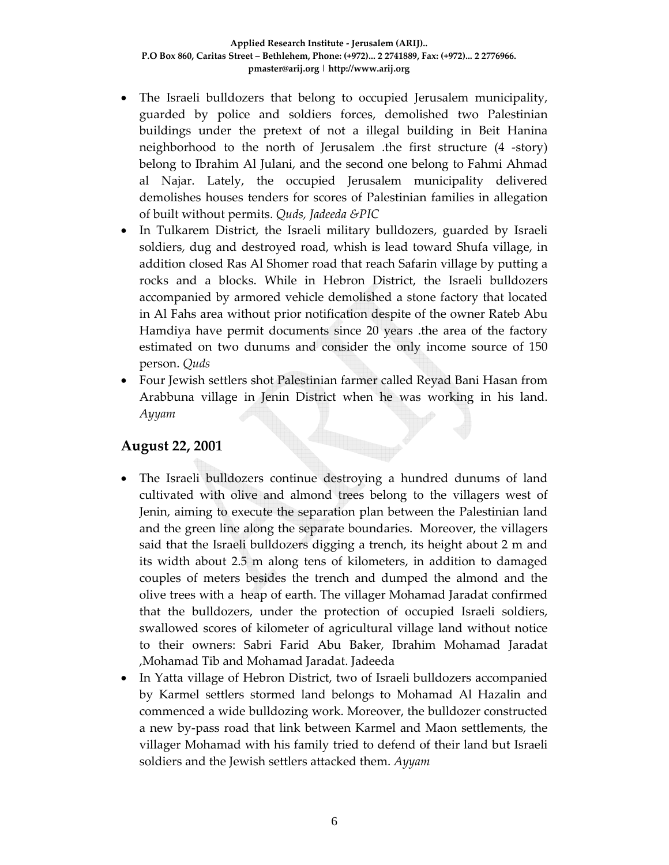- The Israeli bulldozers that belong to occupied Jerusalem municipality, guarded by police and soldiers forces, demolished two Palestinian buildings under the pretext of not a illegal building in Beit Hanina neighborhood to the north of Jerusalem .the first structure (4 ‐story) belong to Ibrahim Al Julani, and the second one belong to Fahmi Ahmad al Najar. Lately, the occupied Jerusalem municipality delivered demolishes houses tenders for scores of Palestinian families in allegation of built without permits. *Quds, Jadeeda &PIC*
- In Tulkarem District, the Israeli military bulldozers, guarded by Israeli soldiers, dug and destroyed road, whish is lead toward Shufa village, in addition closed Ras Al Shomer road that reach Safarin village by putting a rocks and a blocks. While in Hebron District, the Israeli bulldozers accompanied by armored vehicle demolished a stone factory that located in Al Fahs area without prior notification despite of the owner Rateb Abu Hamdiya have permit documents since 20 years .the area of the factory estimated on two dunums and consider the only income source of 150 person. *Quds*
- Four Jewish settlers shot Palestinian farmer called Reyad Bani Hasan from Arabbuna village in Jenin District when he was working in his land. *Ayyam*

### **August 22, 2001**

- The Israeli bulldozers continue destroying a hundred dunums of land cultivated with olive and almond trees belong to the villagers west of Jenin, aiming to execute the separation plan between the Palestinian land and the green line along the separate boundaries. Moreover, the villagers said that the Israeli bulldozers digging a trench, its height about 2 m and its width about 2.5 m along tens of kilometers, in addition to damaged couples of meters besides the trench and dumped the almond and the olive trees with a heap of earth. The villager Mohamad Jaradat confirmed that the bulldozers, under the protection of occupied Israeli soldiers, swallowed scores of kilometer of agricultural village land without notice to their owners: Sabri Farid Abu Baker, Ibrahim Mohamad Jaradat ,Mohamad Tib and Mohamad Jaradat. Jadeeda
- In Yatta village of Hebron District, two of Israeli bulldozers accompanied by Karmel settlers stormed land belongs to Mohamad Al Hazalin and commenced a wide bulldozing work. Moreover, the bulldozer constructed a new by‐pass road that link between Karmel and Maon settlements, the villager Mohamad with his family tried to defend of their land but Israeli soldiers and the Jewish settlers attacked them. *Ayyam*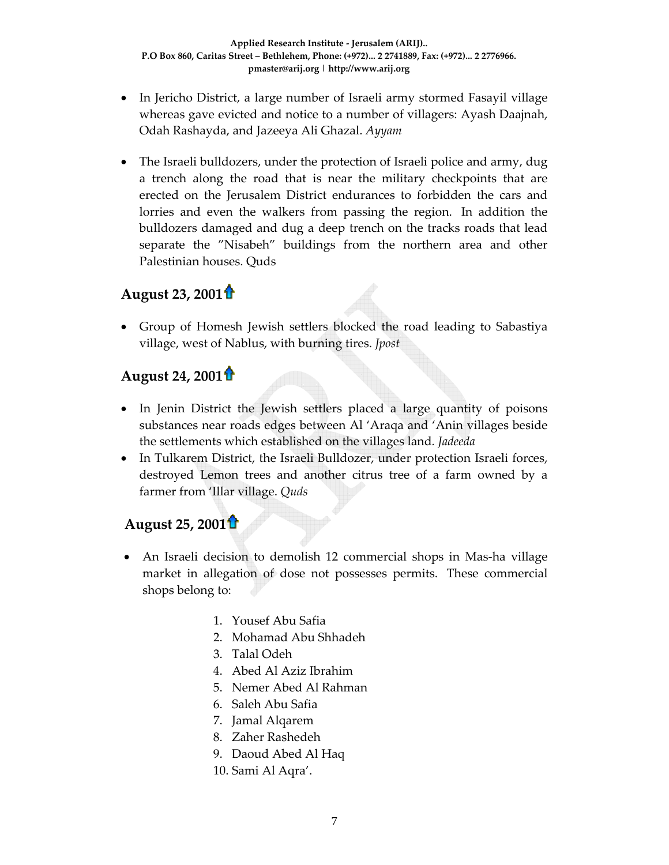- In Jericho District, a large number of Israeli army stormed Fasayil village whereas gave evicted and notice to a number of villagers: Ayash Daajnah, Odah Rashayda, and Jazeeya Ali Ghazal. *Ayyam*
- The Israeli bulldozers, under the protection of Israeli police and army, dug a trench along the road that is near the military checkpoints that are erected on the Jerusalem District endurances to forbidden the cars and lorries and even the walkers from passing the region. In addition the bulldozers damaged and dug a deep trench on the tracks roads that lead separate the "Nisabeh" buildings from the northern area and other Palestinian houses. Quds

# **August 23, 2001**

• Group of Homesh Jewish settlers blocked the road leading to Sabastiya village, west of Nablus, with burning tires. *Jpost*

## **August 24, 2001**

- In Jenin District the Jewish settlers placed a large quantity of poisons substances near roads edges between Al 'Araqa and 'Anin villages beside the settlements which established on the villages land*. Jadeeda*
- In Tulkarem District, the Israeli Bulldozer, under protection Israeli forces, destroyed Lemon trees and another citrus tree of a farm owned by a farmer from 'Illar village. *Quds*

## **August 25, 2001**

- An Israeli decision to demolish 12 commercial shops in Mas-ha village market in allegation of dose not possesses permits. These commercial shops belong to:
	- 1. Yousef Abu Safia
	- 2. Mohamad Abu Shhadeh
	- 3. Talal Odeh
	- 4. Abed Al Aziz Ibrahim
	- 5. Nemer Abed Al Rahman
	- 6. Saleh Abu Safia
	- 7. Jamal Alqarem
	- 8. Zaher Rashedeh
	- 9. Daoud Abed Al Haq
	- 10. Sami Al Aqra'.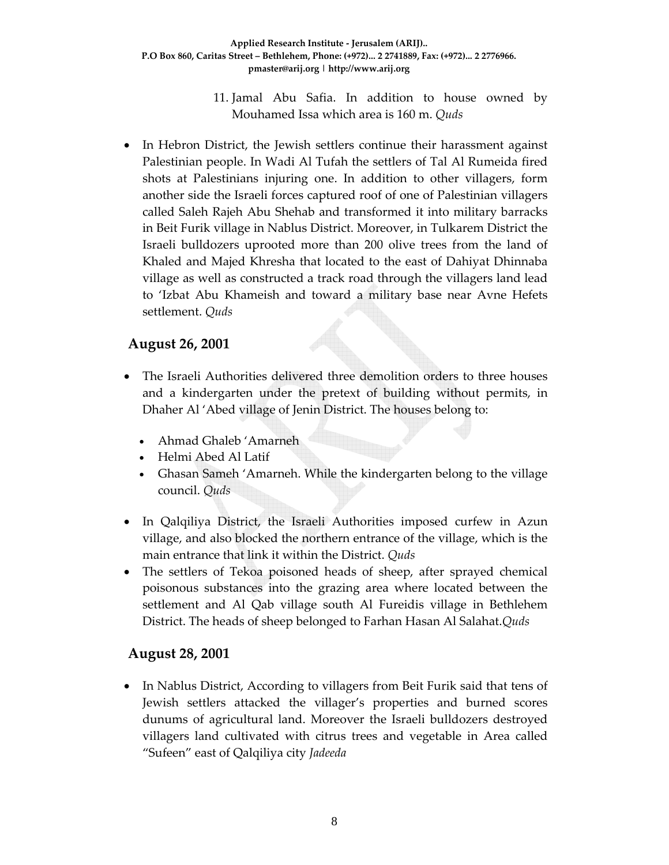11. Jamal Abu Safia. In addition to house owned by Mouhamed Issa which area is 160 m. *Quds*

In Hebron District, the Jewish settlers continue their harassment against Palestinian people. In Wadi Al Tufah the settlers of Tal Al Rumeida fired shots at Palestinians injuring one. In addition to other villagers, form another side the Israeli forces captured roof of one of Palestinian villagers called Saleh Rajeh Abu Shehab and transformed it into military barracks in Beit Furik village in Nablus District. Moreover, in Tulkarem District the Israeli bulldozers uprooted more than 200 olive trees from the land of Khaled and Majed Khresha that located to the east of Dahiyat Dhinnaba village as well as constructed a track road through the villagers land lead to 'Izbat Abu Khameish and toward a military base near Avne Hefets settlement. *Quds*

### **August 26, 2001**

- The Israeli Authorities delivered three demolition orders to three houses and a kindergarten under the pretext of building without permits, in Dhaher Al 'Abed village of Jenin District. The houses belong to:
	- Ahmad Ghaleb 'Amarneh
	- Helmi Abed Al Latif
	- Ghasan Sameh 'Amarneh. While the kindergarten belong to the village council. *Quds*
- In Qalqiliya District, the Israeli Authorities imposed curfew in Azun village, and also blocked the northern entrance of the village, which is the main entrance that link it within the District. *Quds*
- The settlers of Tekoa poisoned heads of sheep, after sprayed chemical poisonous substances into the grazing area where located between the settlement and Al Qab village south Al Fureidis village in Bethlehem District. The heads of sheep belonged to Farhan Hasan Al Salahat.*Quds*

### **August 28, 2001**

• In Nablus District, According to villagers from Beit Furik said that tens of Jewish settlers attacked the villager's properties and burned scores dunums of agricultural land. Moreover the Israeli bulldozers destroyed villagers land cultivated with citrus trees and vegetable in Area called "Sufeen" east of Qalqiliya city *Jadeeda*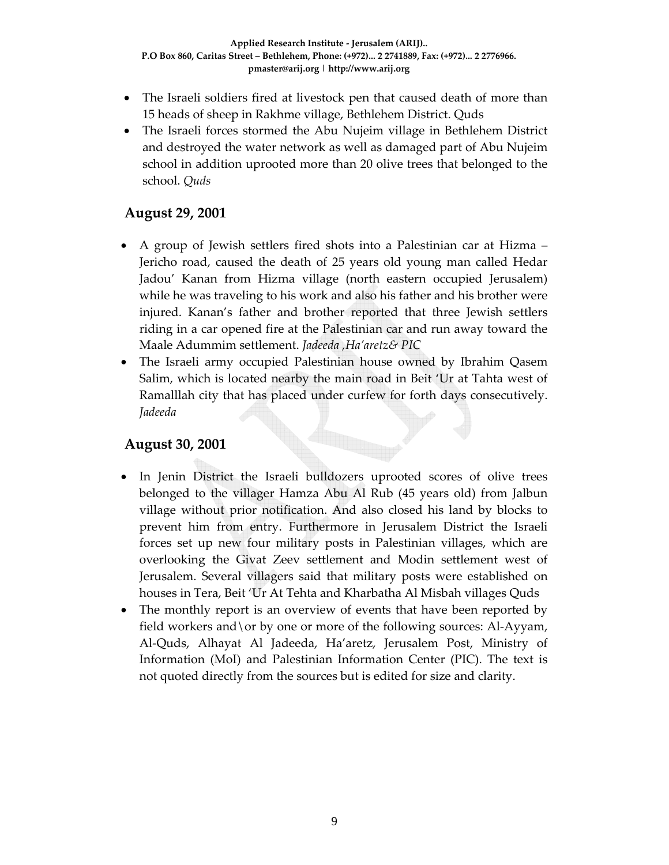- The Israeli soldiers fired at livestock pen that caused death of more than 15 heads of sheep in Rakhme village, Bethlehem District. Quds
- The Israeli forces stormed the Abu Nujeim village in Bethlehem District and destroyed the water network as well as damaged part of Abu Nujeim school in addition uprooted more than 20 olive trees that belonged to the school. *Quds*

### **August 29, 2001**

- A group of Jewish settlers fired shots into a Palestinian car at Hizma Jericho road, caused the death of 25 years old young man called Hedar Jadou' Kanan from Hizma village (north eastern occupied Jerusalem) while he was traveling to his work and also his father and his brother were injured. Kanan's father and brother reported that three Jewish settlers riding in a car opened fire at the Palestinian car and run away toward the Maale Adummim settlement. *Jadeeda ,Ha'aretz& PIC*
- The Israeli army occupied Palestinian house owned by Ibrahim Qasem Salim, which is located nearby the main road in Beit 'Ur at Tahta west of Ramalllah city that has placed under curfew for forth days consecutively. *Jadeeda*

### **August 30, 2001**

- In Jenin District the Israeli bulldozers uprooted scores of olive trees belonged to the villager Hamza Abu Al Rub (45 years old) from Jalbun village without prior notification. And also closed his land by blocks to prevent him from entry. Furthermore in Jerusalem District the Israeli forces set up new four military posts in Palestinian villages, which are overlooking the Givat Zeev settlement and Modin settlement west of Jerusalem. Several villagers said that military posts were established on houses in Tera, Beit 'Ur At Tehta and Kharbatha Al Misbah villages Quds
- The monthly report is an overview of events that have been reported by field workers and \ or by one or more of the following sources: Al-Ayyam, Al‐Quds, Alhayat Al Jadeeda, Ha'aretz, Jerusalem Post, Ministry of Information (MoI) and Palestinian Information Center (PIC). The text is not quoted directly from the sources but is edited for size and clarity.